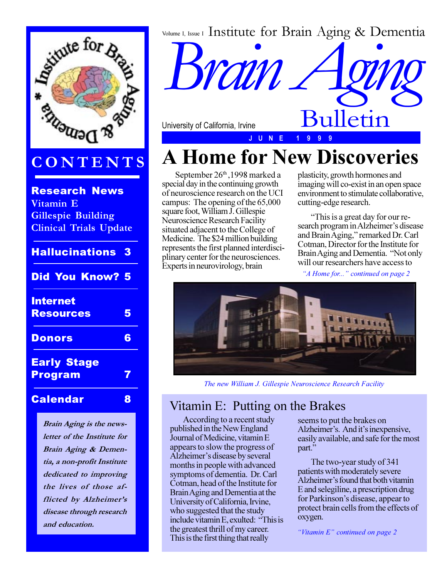

## **CONTENTS**

Research News **Vitamin E Gillespie Building Clinical Trials Update**

| <b>Hallucinations</b>                | 3 |
|--------------------------------------|---|
| <b>Did You Know? 5</b>               |   |
| <b>Internet</b><br><b>Resources</b>  | 5 |
| <b>Donors</b>                        | 6 |
| <b>Early Stage</b><br><b>Program</b> | 7 |
| <b>Calendar</b>                      | 8 |

**Brain Aging is the newsletter of the Institute for Brain Aging & Dementia, a non-profit Institute dedicated to improving the lives of those af**flicted by **Alzheimer's disease through research and education.**

Volume I, Issue I Institute for Brain Aging & Dementia

University of California, Irvine

**Brain** 

# **A Home for New Discoveries**

**J U N E 1 9 9 9**

September 26<sup>th</sup>, 1998 marked a special day in the continuing growth of neuroscience research on the UCI campus: The opening of the 65,000 square foot, William J. Gillespie Neuroscience Research Facility situated adjacent to the College of Medicine. The \$24 million building represents the first planned interdisciplinary center for the neurosciences. Experts in neurovirology, brain

plasticity, growth hormones and imaging will co-exist in an open space environment to stimulate collaborative, cutting-edge research.

Bulletin

This is a great day for our research program in Alzheimer's disease and Brain Aging," remarked Dr. Carl Cotman, Director for the Institute for Brain Aging and Dementia. "Not only will our researchers have access to

*A Home for... continued on page 2*



*The new William J. Gillespie Neuroscience Research Facility*

### Vitamin E: Putting on the Brakes

According to a recent study published in the New England Journal of Medicine, vitamin E appears to slow the progress of Alzheimer's disease by several months in people with advanced symptoms of dementia. Dr. Carl Cotman, head of the Institute for Brain Aging and Dementia at the University of California, Irvine, who suggested that the study include vitamin E, exulted: This is the greatest thrill of my career. This is the first thing that really

seems to put the brakes on Alzheimer's. And it's inexpensive, easily available, and safe for the most part."

The two-year study of 341 patients with moderately severe Alzheimer's found that both vitamin E and selegiline, a prescription drug for Parkinson's disease, appear to protect brain cells from the effects of oxygen.

*"Vitamin E" continued on page 2*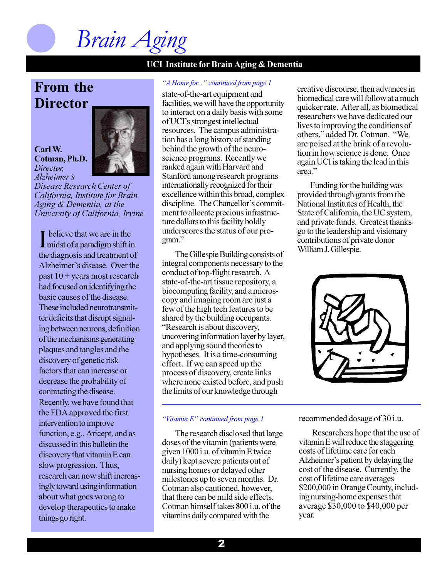*Brain Aging*

### **From the Director**

**Carl W. Cotman, Ph.D.** *Director, Alzheimer's* 



*Disease Research Center of California, Institute for Brain Aging & Dementia, at the University of California, Irvine*

I believe that we are in the<br>
midst of a paradigm shift in  $\blacksquare$  believe that we are in the the diagnosis and treatment of Alzheimer's disease. Over the past 10 + years most research had focused on identifying the basic causes of the disease. These included neurotransmitter deficits that disrupt signaling between neurons, definition of the mechanisms generating plaques and tangles and the discovery of genetic risk factors that can increase or decrease the probability of contracting the disease. Recently, we have found that the FDA approved the first intervention to improve function, e.g., Aricept, and as discussed in this bulletin the discovery that vitamin E can slow progression. Thus, research can now shift increasingly toward using information about what goes wrong to develop therapeutics to make things go right.

### *A Home for... continued from page 1*

state-of-the-art equipment and facilities, we will have the opportunity to interact on a daily basis with some of UCIs strongest intellectual resources. The campus administration has a long history of standing behind the growth of the neuroscience programs. Recently we ranked again with Harvard and Stanford among research programs internationally recognized for their excellence within this broad, complex discipline. The Chancellor's commitment to allocate precious infrastructure dollars to this facility boldly underscores the status of our program.

The Gillespie Building consists of integral components necessary to the conduct of top-flight research. A state-of-the-art tissue repository, a biocomputing facility, and a microscopy and imaging room are just a few of the high tech features to be shared by the building occupants. Research is about discovery, uncovering information layer by layer, and applying sound theories to hypotheses. It is a time-consuming effort. If we can speed up the process of discovery, create links where none existed before, and push the limits of our knowledge through

### *"Vitamin E" continued from page 1*

The research disclosed that large doses of the vitamin (patients were given 1000 i.u. of vitamin E twice daily) kept severe patients out of nursing homes or delayed other milestones up to seven months. Dr. Cotman also cautioned, however, that there can be mild side effects. Cotman himself takes 800 i.u. of the vitamins daily compared with the

creative discourse, then advances in biomedical care will follow at a much quicker rate. After all, as biomedical researchers we have dedicated our lives to improving the conditions of others," added Dr. Cotman. "We are poised at the brink of a revolution in how science is done. Once again UCI is taking the lead in this area.

Funding for the building was provided through grants from the National Institutes of Health, the State of California, the UC system, and private funds. Greatest thanks go to the leadership and visionary contributions of private donor William J. Gillespie.



recommended dosage of 30 i.u.

Researchers hope that the use of vitamin E will reduce the staggering costs of lifetime care for each Alzheimer's patient by delaying the cost of the disease. Currently, the cost of lifetime care averages \$200,000 in Orange County, including nursing-home expenses that average \$30,000 to \$40,000 per year.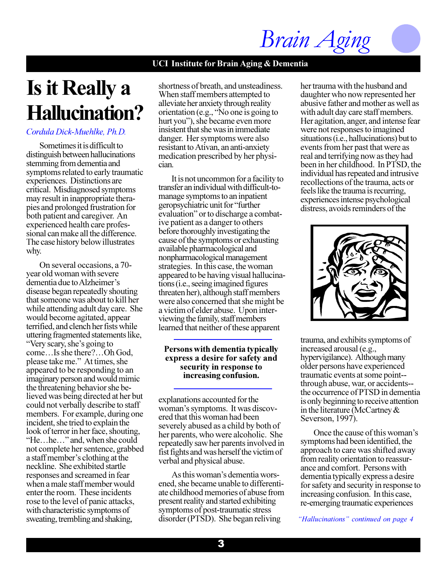# *Brain Aging*

### **UCI Institute for Brain Aging & Dementia**

# **Is it Really a Hallucination?**

### *Cordula Dick-Muehlke, Ph.D.*

Sometimes it is difficult to distinguish between hallucinations stemming from dementia and symptoms related to early traumatic experiences. Distinctions are critical. Misdiagnosed symptoms may result in inappropriate therapies and prolonged frustration for both patient and caregiver. An experienced health care professional can make all the difference. The case history below illustrates why.

On several occasions, a 70 year old woman with severe dementia due to Alzheimer's disease began repeatedly shouting that someone was about to kill her while attending adult day care. She would become agitated, appear terrified, and clench her fists while uttering fragmented statements like, "Very scary, she's going to  $come...$  Is she there? $\ldots$  Oh God, please take me." At times, she appeared to be responding to an imaginary person and would mimic the threatening behavior she believed was being directed at her but could not verbally describe to staff members. For example, during one incident, she tried to explain the look of terror in her face, shouting,  $H$ e...he..." and, when she could not complete her sentence, grabbed a staff member's clothing at the neckline. She exhibited startle responses and screamed in fear when a male staff member would enter the room. These incidents rose to the level of panic attacks, with characteristic symptoms of sweating, trembling and shaking,

shortness of breath, and unsteadiness. When staff members attempted to alleviate her anxiety through reality orientation (e.g.,  $\sqrt{\ }$ No one is going to hurt you"), she became even more insistent that she was in immediate danger. Her symptoms were also resistant to Ativan, an anti-anxiety medication prescribed by her physician.

It is not uncommon for a facility to transfer an individual with difficult-tomanage symptoms to an inpatient geropsychiatric unit for "further" evaluation" or to discharge a combative patient as a danger to others before thoroughly investigating the cause of the symptoms or exhausting available pharmacological and nonpharmacological management strategies. In this case, the woman appeared to be having visual hallucinations (i.e., seeing imagined figures threaten her), although staff members were also concerned that she might be a victim of elder abuse. Upon interviewing the family, staff members learned that neither of these apparent

### **Persons with dementia typically express a desire for safety and security in response to increasing confusion.**

explanations accounted for the woman's symptoms. It was discovered that this woman had been severely abused as a child by both of her parents, who were alcoholic. She repeatedly saw her parents involved in fist fights and was herself the victim of verbal and physical abuse.

As this woman's dementia worsened, she became unable to differentiate childhood memories of abuse from present reality and started exhibiting symptoms of post-traumatic stress disorder (PTSD). She began reliving

her trauma with the husband and daughter who now represented her abusive father and mother as well as with adult day care staff members. Her agitation, anger, and intense fear were not responses to imagined situations (i.e., hallucinations) but to events from her past that were as real and terrifying now as they had been in her childhood. In PTSD, the individual has repeated and intrusive recollections of the trauma, acts or feels like the trauma is recurring, experiences intense psychological distress, avoids reminders of the



trauma, and exhibits symptoms of increased arousal (e.g., hypervigilance). Although many older persons have experienced traumatic events at some point- through abuse, war, or accidents- the occurrence of PTSD in dementia is only beginning to receive attention in the literature (McCartney & Severson, 1997).

Once the cause of this woman's symptoms had been identified, the approach to care was shifted away from reality orientation to reassurance and comfort. Persons with dementia typically express a desire for safety and security in response to increasing confusion. In this case, re-emerging traumatic experiences

*Hallucinations continued on page 4*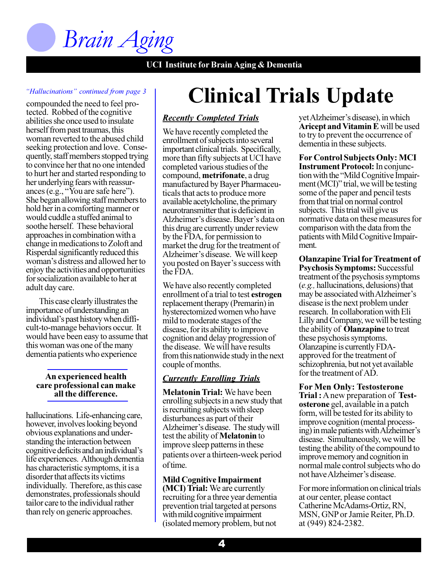

### *Hallucinations continued from page 3*

abilities she once used to insulate herself from past traumas, this woman reverted to the abused child seeking protection and love. Consequently, staff members stopped trying to convince her that no one intended to hurt her and started responding to her underlying fears with reassurances (e.g., "You are safe here"). She began allowing staff members to hold her in a comforting manner or would cuddle a stuffed animal to soothe herself. These behavioral approaches in combination with a change in medications to Zoloft and Risperdal significantly reduced this woman's distress and allowed her to enjoy the activities and opportunities for socialization available to her at adult day care. compounded the need to feel protected. Robbed of the cognitive

This case clearly illustrates the importance of understanding an individual's past history when difficult-to-manage behaviors occur. It would have been easy to assume that this woman was one of the many dementia patients who experience

### **An experienced health care professional can make all the difference.**

hallucinations. Life-enhancing care, however, involves looking beyond obvious explanations and understanding the interaction between cognitive deficits and an individual's life experiences. Although dementia has characteristic symptoms, it is a disorder that affects its victims individually. Therefore, as this case demonstrates, professionals should tailor care to the individual rather than rely on generic approaches.

# **Clinical Trials Update**

### *Recently Completed Trials*

We have recently completed the enrollment of subjects into several important clinical trials. Specifically, more than fifty subjects at UCI have completed various studies of the compound, **metrifonate**, a drug manufactured by Bayer Pharmaceuticals that acts to produce more available acetylcholine, the primary neurotransmitter that is deficient in Alzheimer's disease. Bayer's data on this drug are currently under review by the FDA, for permission to market the drug for the treatment of Alzheimer's disease. We will keep you posted on Bayer's success with the FDA.

We have also recently completed enrollment of a trial to test **estrogen** replacement therapy (Premarin) in hysterectomized women who have mild to moderate stages of the disease, for its ability to improve cognition and delay progression of the disease. We will have results from this nationwide study in the next couple of months.

### *Currently Enrolling Trials*

**Melatonin Trial:** We have been enrolling subjects in a new study that is recruiting subjects with sleep disturbances as part of their Alzheimer's disease. The study will test the ability of **Melatonin** to improve sleep patterns in these patients over a thirteen-week period of time.

**Mild Cognitive Impairment (MCI) Trial:** We are currently recruiting for a three year dementia prevention trial targeted at persons with mild cognitive impairment (isolated memory problem, but not yet Alzheimer's disease), in which **Aricept and Vitamin E** will be used to try to prevent the occurrence of dementia in these subjects.

**For Control Subjects Only: MCI Instrument Protocol:** In conjunction with the "Mild Cognitive Impairment (MCI)" trial, we will be testing some of the paper and pencil tests from that trial on normal control subjects. This trial will give us normative data on these measures for comparison with the data from the patients with Mild Cognitive Impairment.

**Olanzapine Trial for Treatment of Psychosis Symptoms:** Successful treatment of the psychosis symptoms (*e.g.,* hallucinations, delusions) that may be associated with Alzheimer's disease is the next problem under research. In collaboration with Eli Lilly and Company, we will be testing the ability of **Olanzapine** to treat these psychosis symptoms. Olanzapine is currently FDAapproved for the treatment of schizophrenia, but not yet available for the treatment of AD.

**For Men Only: Testosterone Trial :** A new preparation of **Testosterone** gel, available in a patch form, will be tested for its ability to improve cognition (mental processing) in male patients with Alzheimer's disease. Simultaneously, we will be testing the ability of the compound to improve memory and cognition in normal male control subjects who do not have Alzheimer's disease.

For more information on clinical trials at our center, please contact Catherine McAdams-Ortiz, RN, MSN, GNP or Jamie Reiter, Ph.D. at (949) 824-2382.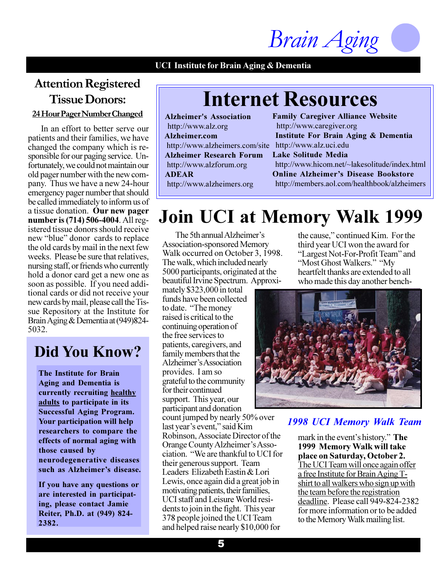*Brain Aging*

## **Attention Registered Tissue Donors:**

**24 Hour Pager Number Changed**

In an effort to better serve our patients and their families, we have changed the company which is responsible for our paging service. Unfortunately, we could not maintain our old pager number with the new company. Thus we have a new 24-hour emergency pager number that should be called immediately to inform us of a tissue donation. **Our new pager number is (714) 506-4004**. All registered tissue donors should receive new "blue" donor cards to replace the old cards by mail in the next few weeks. Please be sure that relatives, nursing staff, or friends who currently hold a donor card get a new one as soon as possible. If you need additional cards or did not receive your new cards by mail, please call the Tissue Repository at the Institute for Brain Aging & Dementia at (949)824- 5032.

## **Did You Know?**

**The Institute for Brain Aging and Dementia is currently recruiting healthy adults to participate in its Successful Aging Program. Your participation will help researchers to compare the effects of normal aging with those caused by neurodegenerative diseases** such as Alzheimer's disease.

**If you have any questions or are interested in participating, please contact Jamie Reiter, Ph.D. at (949) 824- 2382.**

## **Internet Resources**

 **Alzheimer's Association** http://www.alz.org  **Alzheimer.com** http://www.alzheimers.com/site http://www.alz.uci.edu  **Alzheimer Research Forum** http://www.alzforum.org  **ADEAR** http://www.alzheimers.org

**Family Caregiver Alliance Website** http://www.caregiver.org  **Institute For Brain Aging & Dementia Lake Solitude Media** http://www.hicom.net/~lakesolitude/index.html **Online Alzheimer's Disease Bookstore** http://members.aol.com/healthbook/alzheimers

## **Join UCI at Memory Walk 1999**

The 5th annual Alzheimer's Association-sponsored Memory Walk occurred on October 3, 1998. The walk, which included nearly 5000 participants, originated at the beautiful Irvine Spectrum. Approxi-

mately \$323,000 in total funds have been collected to date. "The money raised is critical to the continuing operation of the free services to patients, caregivers, and family members that the Alzheimer's Association provides. I am so grateful to the community for their continued support. This year, our participant and donation count jumped by nearly 50% over last year's event," said Kim Robinson, Associate Director of the Orange County Alzheimer's Association. We are thankful to UCI for their generous support. Team Leaders Elizabeth Eastin & Lori Lewis, once again did a great job in motivating patients, their families, UCI staff and Leisure World residents to join in the fight. This year 378 people joined the UCI Team and helped raise nearly \$10,000 for

the cause," continued Kim. For the third year UCI won the award for "Largest Not-For-Profit Team" and "Most Ghost Walkers." "My heartfelt thanks are extended to all who made this day another bench-



### *1998 UCI Memory Walk Team*

mark in the event's history." The **1999 Memory Walk will take place on Saturday, October 2.** The UCI Team will once again offer a free Institute for Brain Aging Tshirt to all walkers who sign up with the team before the registration deadline. Please call 949-824-2382 for more information or to be added to the Memory Walk mailing list.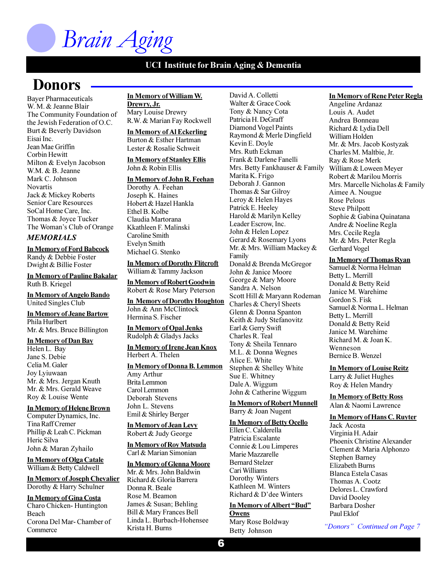# *Brain Aging*

### **UCI Institute for Brain Aging & Dementia**

## **Donors**

Bayer Pharmaceuticals W. M. & Jeanne Blair The Community Foundation of the Jewish Federation of O.C. Burt & Beverly Davidson Eisai Inc. Jean Mae Griffin Corbin Hewitt Milton & Evelyn Jacobson W.M. & B. Jeanne Mark C. Johnson Novartis Jack & Mickey Roberts Senior Care Resources SoCal Home Care, Inc. Thomas & Joyce Tucker The Woman's Club of Orange

### *MEMORIALS*

**In Memory of Ford Babcock** Randy & Debbie Foster Dwight & Billie Foster

**In Memory of Pauline Bakalar** Ruth B. Kriegel

**In Memory of Angelo Bando** United Singles Club

**In Memory of Jeane Bartow** Phila Hurlbert Mr. & Mrs. Bruce Billington

### **In Memory of Dan Bay**

Helen L. Bay Jane S. Debie Celia M. Galer Joy Lyiuwaan Mr. & Mrs. Jergan Knuth Mr. & Mrs. Gerald Weave Roy & Louise Wente

### **In Memory of Helene Brown**

Computer Dynamics, Inc. Tina Raff Cremer Phillip & Leah C. Pickman Heric Silva John & Maran Zyhailo

**In Memory of Olga Catale** William & Betty Caldwell

### **In Memory of Joseph Chevalier** Dorothy & Harry Schulner

**In Memory of Gina Costa** Charo Chicken- Huntington Beach Corona Del Mar- Chamber of **Commerce** 

**In Memory of William W. Drewry, Jr.** Mary Louise Drewry R.W. & Marian Fay Rockwell

**In Memory of Al Eckerling** Burton & Esther Hartman Lester & Rosalie Schweit

### **In Memory of Stanley Ellis** John & Robin Ellis

**In Memory of John R. Feehan** Dorothy A. Feehan Joseph K. Haines Hobert & Hazel Hankla Ethel B. Kolbe Claudia Martorana

Evelyn Smith Michael G. Stenko

Kkathleen F. Malinski Caroline Smith

**In Memory of Dorothy Flitcroft** William & Tammy Jackson

**In Memory of Robert Goodwin** Robert & Rose Mary Peterson

**In Memory of Dorothy Houghton** John & Ann McClintock Hermina S. Fischer

**In Memory of Opal Jenks** Rudolph & Gladys Jacks

#### **In Memory of Irene Jean Knox** Herbert A. Thelen

**In Memory of Donna B. Lemmon**

Amy Arthur Brita Lemmon Carol Lemmon Deborah Stevens John L. Stevens Emil & Shirley Berger

### **In Memory of Jean Levy** Robert & Judy George

**In Memory of Roy Matsuda**

### Carl & Marian Simonian

**In Memory of Glenna Moore**

Mr. & Mrs. John Baldwin Richard & Gloria Barrera Donna R. Beale Rose M. Beamon James & Susan; Behling Bill & Mary Frances Bell Linda L. Burbach-Hohensee Krista H. Burns

David A. Colletti Walter & Grace Cook Tony & Nancy Cota Patricia H. DeGraff Diamond Vogel Paints Raymond & Merle Dingfield Kevin E. Doyle Mrs. Ruth Eckman Frank & Darlene Fanelli Mrs. Betty Fankhauser & Family Marita K. Frigo Deborah J. Gannon Thomas & Sar Gilroy Leroy & Helen Hayes Patrick E. Heeley Harold & Marilyn Kelley Leader Escrow, Inc. John & Helen Lopez Gerard & Rosemary Lyons Mr. & Mrs. William Mackey & Family Donald & Brenda McGregor John & Janice Moore George & Mary Moore Sandra A. Nelson Scott Hill & Maryann Rodeman Charles & Cheryl Sheets Glenn & Donna Spanton Keith & Judy Stefanovitz Earl & Gerry Swift Charles R. Teal Tony & Sheila Tennaro M.L. & Donna Wegnes Alice E. White Stephen & Shelley White Sue E. Whitney Dale A. Wiggum John & Catherine Wiggum

**In Memory of Robert Munnell** Barry & Joan Nugent

### **In Memory of Betty Ocello**

Ellen C. Calderella Patricia Escalante Connie & Lou Limperes Marie Mazzarelle Bernard Stelzer Cari Williams Dorothy Winters Kathleen M. Winters Richard  $& D$ 'dee Winters

### **In Memory of Albert "Bud" Owens**

Mary Rose Boldway Betty Johnson

### **In Memory of Rene Peter Regla**

Angeline Ardanaz Louis A. Audet Andrea Bonneau Richard & Lydia Dell William Holden Mr. & Mrs. Jacob Kostyzak Charles M. Maltbie, Jr. Ray & Rose Merk William & Loween Meyer Robert & Marilou Morris Mrs. Marcelle Nicholas & Family Aimee A. Nougue Rose Pelous Steve Philpott Sophie & Gabina Quinatana Andre & Noeline Regla Mrs. Cecile Regla Mr. & Mrs. Peter Regla Gerhard Vogel

### **In Memory of Thomas Ryan**

Samuel & Norma Helman Betty L. Merrill Donald & Betty Reid Janice M. Warehime Gordon S. Fisk Samuel & Norma L. Helman Betty L. Merrill Donald & Betty Reid Janice M. Warehime Richard M. & Joan K. Wenneson Bernice B. Wenzel

### **In Memory of Louise Reitz**

Larry & Juliet Hughes Roy & Helen Mandry

**In Memory of Betty Ross** Alan & Naomi Lawrence

### **In Memory of Hans C. Ruyter**

Jack Acosta Virginia H. Adair Phoenix Christine Alexander Clement & Maria Alphonzo Stephen Barney Elizabeth Burns Blanca Estela Casas Thomas A. Cootz Delores L. Crawford David Dooley Barbara Dosher Paul Eklof

*Donors Continued on Page 7*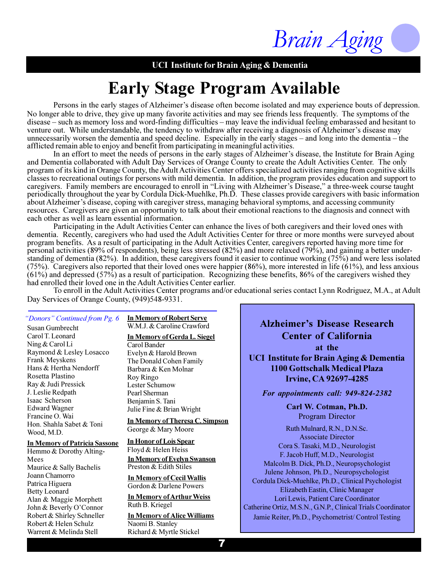

## **Early Stage Program Available**

Persons in the early stages of Alzheimer's disease often become isolated and may experience bouts of depression. No longer able to drive, they give up many favorite activities and may see friends less frequently. The symptoms of the disease – such as memory loss and word-finding difficulties – may leave the individual feeling embarassed and hesitant to venture out. While understandable, the tendency to withdraw after receiving a diagnosis of Alzheimer's disease may unnecessarily worsen the dementia and speed decline. Especially in the early stages  $-$  and long into the dementia  $-$  the afflicted remain able to enjoy and benefit from participating in meaningful activities.

In an effort to meet the needs of persons in the early stages of Alzheimer's disease, the Institute for Brain Aging and Dementia collaborated with Adult Day Services of Orange County to create the Adult Activities Center. The only program of its kind in Orange County, the Adult Activities Center offers specialized activities ranging from cognitive skills classes to recreational outings for persons with mild dementia. In addition, the program provides education and support to caregivers. Family members are encouraged to enroll in "Living with Alzheimer's Disease," a three-week course taught periodically throughout the year by Cordula Dick-Muehlke, Ph.D. These classes provide caregivers with basic information about Alzheimer's disease, coping with caregiver stress, managing behavioral symptoms, and accessing community resources. Caregivers are given an opportunity to talk about their emotional reactions to the diagnosis and connect with each other as well as learn essential information.

Participating in the Adult Activities Center can enhance the lives of both caregivers and their loved ones with dementia. Recently, caregivers who had used the Adult Activities Center for three or more months were surveyed about program benefits. As a result of participating in the Adult Activities Center, caregivers reported having more time for personal activities (89% of respondents), being less stressed (82%) and more relaxed (79%), and gaining a better understanding of dementia (82%). In addition, these caregivers found it easier to continue working (75%) and were less isolated (75%). Caregivers also reported that their loved ones were happier (86%), more interested in life (61%), and less anxious  $(61%)$  and depressed (57%) as a result of participation. Recognizing these benefits, 86% of the caregivers wished they had enrolled their loved one in the Adult Activities Center earlier.

To enroll in the Adult Activities Center programs and/or educational series contact Lynn Rodriguez, M.A., at Adult Day Services of Orange County, (949) 548-9331.

Susan Gumbrecht Carol T. Leonard Ning & Carol Li Raymond & Lesley Losacco Frank Meyskens Hans & Hertha Nendorff Rosetta Plastino Ray & Judi Pressick J. Leslie Redpath Isaac Scherson Edward Wagner Francine O. Wai Hon. Shahla Sabet & Toni Wood, M.D.

### **In Memory of Patricia Sassone**

Hemmo & Dorothy Alting-Mees Maurice & Sally Bachelis Joann Chamorro Patrica Higuera Betty Leonard Alan & Maggie Morphett John & Beverly O'Connor Robert & Shirley Schneller Robert & Helen Schulz Warrent & Melinda Stell

*<u>Donors'' Continued from Pg. 6 In Memory of Robert Serve Alzheimer's Disease Research<sup>\*</sup>*</u> **In Memory of Robert Serve** W.M.J. & Caroline Crawford

> **In Memory of Gerda L. Siegel** Carol Bander Evelyn & Harold Brown The Donald Cohen Family Barbara & Ken Molnar Roy Ringo Lester Schumow Pearl Sherman Benjamin S. Tani Julie Fine & Brian Wright

**In Memory of Theresa C. Simpson** George & Mary Moore

### **In Honor of Lois Spear**

**In Memory of Evelyn Swanson** Preston & Edith Stiles Floyd & Helen Heiss

**In Memory of Cecil Wallis** Gordon & Darlene Powers

**In Memory of ArthurWeiss** Ruth B. Kriegel

**In Memory of Alice Williams** Naomi B. Stanley Richard & Myrtle Stickel

**Center of California at the UCI Institute for Brain Aging & Dementia 1100 Gottschalk Medical Plaza**

**Irvine, CA 92697-4285**

*For appointments call: 949-824-2382*

**Carl W. Cotman, Ph.D.** Program Director

Ruth Mulnard, R.N., D.N.Sc. Associate Director Cora S. Tasaki, M.D., Neurologist F. Jacob Huff, M.D., Neurologist Malcolm B. Dick, Ph.D., Neuropsychologist Julene Johnson, Ph.D., Neuropsychologist Cordula Dick-Muehlke, Ph.D., Clinical Psychologist Elizabeth Eastin, Clinic Manager Lori Lewis, Patient Care Coordinator Catherine Ortiz, M.S.N., G.N.P., Clinical Trials Coordinator Jamie Reiter, Ph.D., Psychometrist/ Control Testing